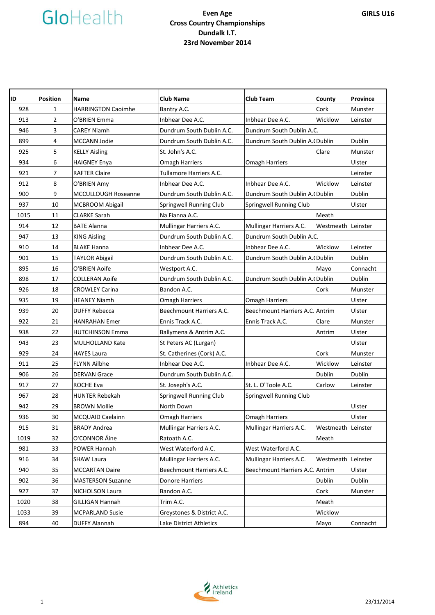# GloHealth

## **Even Age Cross Country Championships Dundalk I.T. 23rd November 2014**

| ID   | <b>Position</b> | <b>Name</b>                | <b>Club Name</b>           | <b>Club Team</b>                | County             | Province |
|------|-----------------|----------------------------|----------------------------|---------------------------------|--------------------|----------|
| 928  | $\mathbf{1}$    | <b>HARRINGTON Caoimhe</b>  | Bantry A.C.                |                                 | Cork               | Munster  |
| 913  | $\overline{2}$  | O'BRIEN Emma               | Inbhear Dee A.C.           | Inbhear Dee A.C.                | Wicklow            | Leinster |
| 946  | 3               | <b>CAREY Niamh</b>         | Dundrum South Dublin A.C.  | Dundrum South Dublin A.C.       |                    |          |
| 899  | 4               | MCCANN Jodie               | Dundrum South Dublin A.C.  | Dundrum South Dublin A. (Dublin |                    | Dublin   |
| 925  | 5               | <b>KELLY Aisling</b>       | St. John's A.C.            |                                 | Clare              | Munster  |
| 934  | 6               | <b>HAIGNEY Enya</b>        | <b>Omagh Harriers</b>      | <b>Omagh Harriers</b>           |                    | Ulster   |
| 921  | $\overline{7}$  | <b>RAFTER Claire</b>       | Tullamore Harriers A.C.    |                                 |                    | Leinster |
| 912  | 8               | O'BRIEN Amy                | Inbhear Dee A.C.           | Inbhear Dee A.C.                | Wicklow            | Leinster |
| 900  | 9               | <b>MCCULLOUGH Roseanne</b> | Dundrum South Dublin A.C.  | Dundrum South Dublin A. (Dublin |                    | Dublin   |
| 937  | 10              | <b>MCBROOM Abigail</b>     | Springwell Running Club    | Springwell Running Club         |                    | Ulster   |
| 1015 | 11              | <b>CLARKE Sarah</b>        | Na Fianna A.C.             |                                 | Meath              |          |
| 914  | 12              | <b>BATE Alanna</b>         | Mullingar Harriers A.C.    | Mullingar Harriers A.C.         | Westmeath Leinster |          |
| 947  | 13              | <b>KING Aisling</b>        | Dundrum South Dublin A.C.  | Dundrum South Dublin A.C.       |                    |          |
| 910  | 14              | <b>BLAKE Hanna</b>         | Inbhear Dee A.C.           | Inbhear Dee A.C.                | Wicklow            | Leinster |
| 901  | 15              | <b>TAYLOR Abigail</b>      | Dundrum South Dublin A.C.  | Dundrum South Dublin A. Dublin  |                    | Dublin   |
| 895  | 16              | O'BRIEN Aoife              | Westport A.C.              |                                 | Mayo               | Connacht |
| 898  | 17              | <b>COLLERAN Aoife</b>      | Dundrum South Dublin A.C.  | Dundrum South Dublin A. Dublin  |                    | Dublin   |
| 926  | 18              | <b>CROWLEY Carina</b>      | Bandon A.C.                |                                 | Cork               | Munster  |
| 935  | 19              | <b>HEANEY Niamh</b>        | <b>Omagh Harriers</b>      | Omagh Harriers                  |                    | Ulster   |
| 939  | 20              | <b>DUFFY Rebecca</b>       | Beechmount Harriers A.C.   | Beechmount Harriers A.C. Antrim |                    | Ulster   |
| 922  | 21              | <b>HANRAHAN Emer</b>       | Ennis Track A.C.           | Ennis Track A.C.                | Clare              | Munster  |
| 938  | 22              | <b>HUTCHINSON Emma</b>     | Ballymena & Antrim A.C.    |                                 | Antrim             | Ulster   |
| 943  | 23              | <b>MULHOLLAND Kate</b>     | St Peters AC (Lurgan)      |                                 |                    | Ulster   |
| 929  | 24              | <b>HAYES Laura</b>         | St. Catherines (Cork) A.C. |                                 | Cork               | Munster  |
| 911  | 25              | <b>FLYNN Ailbhe</b>        | Inbhear Dee A.C.           | Inbhear Dee A.C.                | Wicklow            | Leinster |
| 906  | 26              | <b>DERVAN Grace</b>        | Dundrum South Dublin A.C.  |                                 | Dublin             | Dublin   |
| 917  | 27              | ROCHE Eva                  | St. Joseph's A.C.          | St. L. O'Toole A.C.             | Carlow             | Leinster |
| 967  | 28              | <b>HUNTER Rebekah</b>      | Springwell Running Club    | Springwell Running Club         |                    |          |
| 942  | 29              | <b>BROWN Mollie</b>        | North Down                 |                                 |                    | Ulster   |
| 936  | 30              | MCQUAID Caelainn           | <b>Omagh Harriers</b>      | <b>Omagh Harriers</b>           |                    | Ulster   |
| 915  | 31              | <b>BRADY Andrea</b>        | Mullingar Harriers A.C.    | Mullingar Harriers A.C.         | Westmeath Leinster |          |
| 1019 | 32              | O'CONNOR Áine              | Ratoath A.C.               |                                 | Meath              |          |
| 981  | 33              | POWER Hannah               | West Waterford A.C.        | West Waterford A.C.             |                    |          |
| 916  | 34              | <b>SHAW Laura</b>          | Mullingar Harriers A.C.    | Mullingar Harriers A.C.         | Westmeath          | Leinster |
| 940  | 35              | <b>MCCARTAN Daire</b>      | Beechmount Harriers A.C.   | Beechmount Harriers A.C. Antrim |                    | Ulster   |
| 902  | 36              | <b>MASTERSON Suzanne</b>   | Donore Harriers            |                                 | Dublin             | Dublin   |
| 927  | 37              | <b>NICHOLSON Laura</b>     | Bandon A.C.                |                                 | Cork               | Munster  |
| 1020 | 38              | <b>GILLIGAN Hannah</b>     | Trim A.C.                  |                                 | Meath              |          |
| 1033 | 39              | <b>MCPARLAND Susie</b>     | Greystones & District A.C. |                                 | Wicklow            |          |
| 894  | 40              | <b>DUFFY Alannah</b>       | Lake District Athletics    |                                 | Mayo               | Connacht |

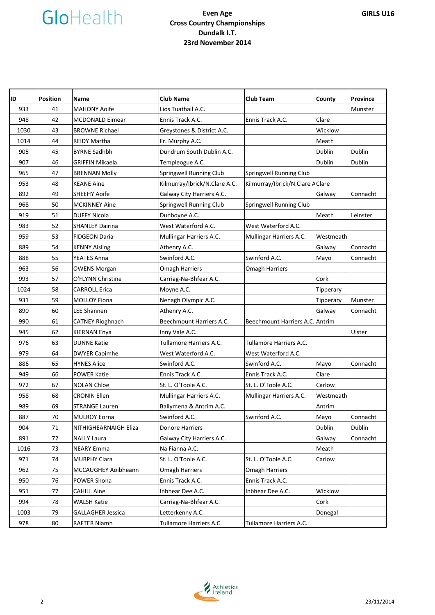# GloHealth

## **Even Age Cross Country Championships Dundalk I.T. 23rd November 2014**

| ID   | <b>Position</b> | <b>Name</b>              | <b>Club Name</b>              | <b>Club Team</b>                 | County    | <b>Province</b> |
|------|-----------------|--------------------------|-------------------------------|----------------------------------|-----------|-----------------|
| 933  | 41              | <b>MAHONY Aoife</b>      | Lios Tuathail A.C.            |                                  |           | Munster         |
| 948  | 42              | <b>MCDONALD Eimear</b>   | Ennis Track A.C.              | Ennis Track A.C.                 | Clare     |                 |
| 1030 | 43              | <b>BROWNE Richael</b>    | Greystones & District A.C.    |                                  | Wicklow   |                 |
| 1014 | 44              | <b>REIDY Martha</b>      | Fr. Murphy A.C.               |                                  | Meath     |                 |
| 905  | 45              | <b>BYRNE Sadhbh</b>      | Dundrum South Dublin A.C.     |                                  | Dublin    | Dublin          |
| 907  | 46              | GRIFFIN Mikaela          | Templeogue A.C.               |                                  | Dublin    | Dublin          |
| 965  | 47              | <b>BRENNAN Molly</b>     | Springwell Running Club       | Springwell Running Club          |           |                 |
| 953  | 48              | <b>KEANE Aine</b>        | Kilmurray/Ibrick/N.Clare A.C. | Kilmurray/Ibrick/N.Clare A Clare |           |                 |
| 892  | 49              | <b>SHEEHY Aoife</b>      | Galway City Harriers A.C.     |                                  | Galway    | Connacht        |
| 968  | 50              | <b>MCKINNEY Aine</b>     | Springwell Running Club       | Springwell Running Club          |           |                 |
| 919  | 51              | <b>DUFFY Nicola</b>      | Dunboyne A.C.                 |                                  | Meath     | Leinster        |
| 983  | 52              | <b>SHANLEY Dairina</b>   | West Waterford A.C.           | West Waterford A.C.              |           |                 |
| 959  | 53              | <b>FIDGEON Daria</b>     | Mullingar Harriers A.C.       | Mullingar Harriers A.C.          | Westmeath |                 |
| 889  | 54              | <b>KENNY Aisling</b>     | Athenry A.C.                  |                                  | Galway    | Connacht        |
| 888  | 55              | <b>YEATES Anna</b>       | Swinford A.C.                 | Swinford A.C.                    | Mayo      | Connacht        |
| 963  | 56              | <b>OWENS Morgan</b>      | <b>Omagh Harriers</b>         | <b>Omagh Harriers</b>            |           |                 |
| 993  | 57              | O'FLYNN Christine        | Carriag-Na-Bhfear A.C.        |                                  | Cork      |                 |
| 1024 | 58              | <b>CARROLL Erica</b>     | Moyne A.C.                    |                                  | Tipperary |                 |
| 931  | 59              | <b>MOLLOY Fiona</b>      | Nenagh Olympic A.C.           |                                  | Tipperary | Munster         |
| 890  | 60              | LEE Shannen              | Athenry A.C.                  |                                  | Galway    | Connacht        |
| 990  | 61              | <b>CATNEY Rioghnach</b>  | Beechmount Harriers A.C.      | Beechmount Harriers A.C. Antrim  |           |                 |
| 945  | 62              | <b>KIERNAN Enya</b>      | Inny Vale A.C.                |                                  |           | Ulster          |
| 976  | 63              | <b>DUNNE Katie</b>       | Tullamore Harriers A.C.       | Tullamore Harriers A.C.          |           |                 |
| 979  | 64              | <b>DWYER Caoimhe</b>     | West Waterford A.C.           | West Waterford A.C.              |           |                 |
| 886  | 65              | <b>HYNES Alice</b>       | Swinford A.C.                 | Swinford A.C.                    | Mayo      | Connacht        |
| 949  | 66              | <b>POWER Katie</b>       | Ennis Track A.C.              | Ennis Track A.C.                 | Clare     |                 |
| 972  | 67              | <b>NOLAN Chloe</b>       | St. L. O'Toole A.C.           | St. L. O'Toole A.C.              | Carlow    |                 |
| 958  | 68              | <b>CRONIN Ellen</b>      | Mullingar Harriers A.C.       | Mullingar Harriers A.C.          | Westmeath |                 |
| 989  | 69              | <b>STRANGE Lauren</b>    | Ballymena & Antrim A.C.       |                                  | Antrim    |                 |
| 887  | 70              | <b>MULROY Eorna</b>      | Swinford A.C.                 | Swinford A.C.                    | Mayo      | Connacht        |
| 904  | 71              | NITHIGHEARNAIGH Eliza    | Donore Harriers               |                                  | Dublin    | Dublin          |
| 891  | 72              | <b>NALLY Laura</b>       | Galway City Harriers A.C.     |                                  | Galway    | Connacht        |
| 1016 | 73              | <b>NEARY Emma</b>        | Na Fianna A.C.                |                                  | Meath     |                 |
| 971  | 74              | <b>MURPHY Ciara</b>      | St. L. O'Toole A.C.           | St. L. O'Toole A.C.              | Carlow    |                 |
| 962  | 75              | MCCAUGHEY Aoibheann      | <b>Omagh Harriers</b>         | <b>Omagh Harriers</b>            |           |                 |
| 950  | 76              | POWER Shona              | Ennis Track A.C.              | Ennis Track A.C.                 |           |                 |
| 951  | 77              | <b>CAHILL Aine</b>       | Inbhear Dee A.C.              | Inbhear Dee A.C.                 | Wicklow   |                 |
| 994  | 78              | <b>WALSH Katie</b>       | Carriag-Na-Bhfear A.C.        |                                  | Cork      |                 |
| 1003 | 79              | <b>GALLAGHER Jessica</b> | Letterkenny A.C.              |                                  | Donegal   |                 |
| 978  | 80              | <b>RAFTER Niamh</b>      | Tullamore Harriers A.C.       | Tullamore Harriers A.C.          |           |                 |

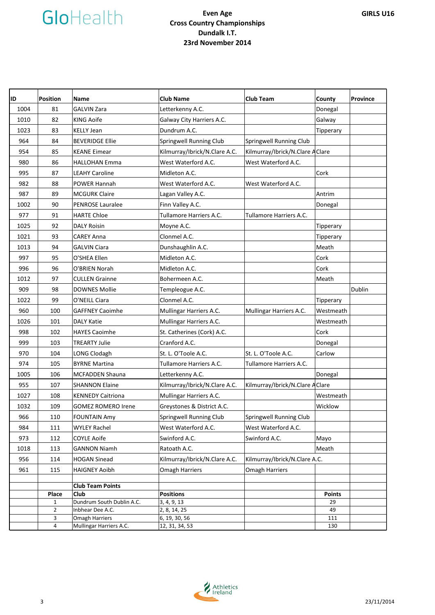

### **Even Age Cross Country Championships Dundalk I.T. 23rd November 2014**

| ID   | <b>Position</b>                | Name                                          | <b>Club Name</b>              | <b>Club Team</b>                 | County        | <b>Province</b> |
|------|--------------------------------|-----------------------------------------------|-------------------------------|----------------------------------|---------------|-----------------|
| 1004 | 81                             | <b>GALVIN Zara</b>                            | Letterkenny A.C.              |                                  | Donegal       |                 |
| 1010 | 82                             | <b>KING Aoife</b>                             | Galway City Harriers A.C.     |                                  | Galway        |                 |
| 1023 | 83                             | <b>KELLY Jean</b>                             | Dundrum A.C.                  |                                  | Tipperary     |                 |
| 964  | 84                             | <b>BEVERIDGE Ellie</b>                        | Springwell Running Club       | Springwell Running Club          |               |                 |
| 954  | 85                             | <b>KEANE Eimear</b>                           | Kilmurray/Ibrick/N.Clare A.C. | Kilmurray/Ibrick/N.Clare A Clare |               |                 |
| 980  | 86                             | <b>HALLOHAN Emma</b>                          | West Waterford A.C.           | West Waterford A.C.              |               |                 |
| 995  | 87                             | <b>LEAHY Caroline</b>                         | Midleton A.C.                 |                                  | Cork          |                 |
| 982  | 88                             | <b>POWER Hannah</b>                           | West Waterford A.C.           | West Waterford A.C.              |               |                 |
| 987  | 89                             | <b>MCGURK Claire</b>                          | Lagan Valley A.C.             |                                  | Antrim        |                 |
| 1002 | 90                             | <b>PENROSE Lauralee</b>                       | Finn Valley A.C.              |                                  | Donegal       |                 |
| 977  | 91                             | <b>HARTE Chloe</b>                            | Tullamore Harriers A.C.       | Tullamore Harriers A.C.          |               |                 |
| 1025 | 92                             | <b>DALY Roisin</b>                            | Moyne A.C.                    |                                  | Tipperary     |                 |
| 1021 | 93                             | CAREY Anna                                    | Clonmel A.C.                  |                                  | Tipperary     |                 |
| 1013 | 94                             | <b>GALVIN Ciara</b>                           | Dunshaughlin A.C.             |                                  | Meath         |                 |
| 997  | 95                             | O'SHEA Ellen                                  | Midleton A.C.                 |                                  | Cork          |                 |
| 996  | 96                             | O'BRIEN Norah                                 | Midleton A.C.                 |                                  | Cork          |                 |
| 1012 | 97                             | <b>CULLEN Grainne</b>                         | Bohermeen A.C.                |                                  | Meath         |                 |
| 909  | 98                             | <b>DOWNES Mollie</b>                          | Templeogue A.C.               |                                  |               | Dublin          |
| 1022 | 99                             | O'NEILL Ciara                                 | Clonmel A.C.                  |                                  | Tipperary     |                 |
| 960  | 100                            | <b>GAFFNEY Caoimhe</b>                        | Mullingar Harriers A.C.       | Mullingar Harriers A.C.          | Westmeath     |                 |
| 1026 | 101                            | <b>DALY Katie</b>                             | Mullingar Harriers A.C.       |                                  | Westmeath     |                 |
| 998  | 102                            | <b>HAYES Caoimhe</b>                          | St. Catherines (Cork) A.C.    |                                  | Cork          |                 |
| 999  | 103                            | <b>TREARTY Julie</b>                          | Cranford A.C.                 |                                  | Donegal       |                 |
| 970  | 104                            | LONG Clodagh                                  | St. L. O'Toole A.C.           | St. L. O'Toole A.C.              | Carlow        |                 |
| 974  | 105                            | <b>BYRNE Martina</b>                          | Tullamore Harriers A.C.       | Tullamore Harriers A.C.          |               |                 |
| 1005 | 106                            | <b>MCFADDEN Shauna</b>                        | Letterkenny A.C.              |                                  | Donegal       |                 |
| 955  | 107                            | <b>SHANNON Elaine</b>                         | Kilmurray/Ibrick/N.Clare A.C. | Kilmurray/Ibrick/N.Clare A Clare |               |                 |
| 1027 | 108                            | <b>KENNEDY Caitriona</b>                      | Mullingar Harriers A.C.       |                                  | Westmeath     |                 |
| 1032 | 109                            | <b>GOMEZ ROMERO Irene</b>                     | Greystones & District A.C.    |                                  | Wicklow       |                 |
| 966  | 110                            | <b>FOUNTAIN Amy</b>                           | Springwell Running Club       | Springwell Running Club          |               |                 |
| 984  | 111                            | <b>WYLEY Rachel</b>                           | West Waterford A.C.           | West Waterford A.C.              |               |                 |
| 973  | 112                            | <b>COYLE Aoife</b>                            | Swinford A.C.                 | Swinford A.C.                    | Mayo          |                 |
| 1018 | 113                            | <b>GANNON Niamh</b>                           | Ratoath A.C.                  |                                  | Meath         |                 |
| 956  | 114                            | <b>HOGAN Sinead</b>                           | Kilmurray/Ibrick/N.Clare A.C. | Kilmurray/Ibrick/N.Clare A.C.    |               |                 |
| 961  | 115                            | <b>HAIGNEY Aoibh</b>                          | <b>Omagh Harriers</b>         | <b>Omagh Harriers</b>            |               |                 |
|      |                                |                                               |                               |                                  |               |                 |
|      |                                | <b>Club Team Points</b>                       |                               |                                  |               |                 |
|      | Place                          | Club                                          | <b>Positions</b>              |                                  | <b>Points</b> |                 |
|      | $\mathbf{1}$<br>$\overline{2}$ | Dundrum South Dublin A.C.<br>Inbhear Dee A.C. | 3, 4, 9, 13                   |                                  | 29            |                 |
|      | 3                              | Omagh Harriers                                | 2, 8, 14, 25<br>6, 19, 30, 56 |                                  | 49<br>111     |                 |
|      | 4                              | Mullingar Harriers A.C.                       | 12, 31, 34, 53                |                                  | 130           |                 |



**GIRLS U16**